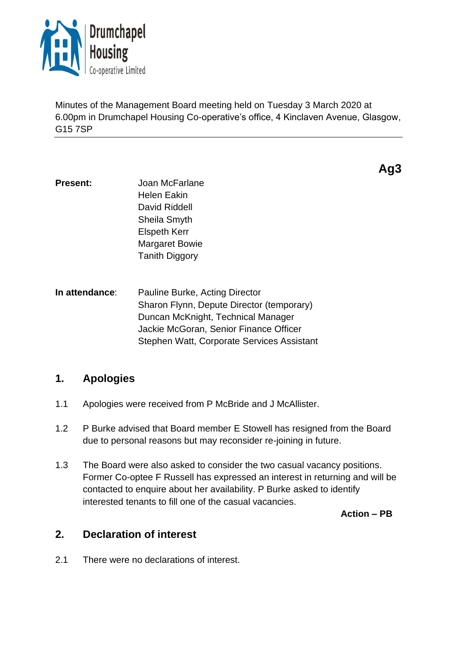

Minutes of the Management Board meeting held on Tuesday 3 March 2020 at 6.00pm in Drumchapel Housing Co-operative's office, 4 Kinclaven Avenue, Glasgow, G15 7SP

**Ag3**

- **Present:** Joan McFarlane Helen Eakin David Riddell Sheila Smyth Elspeth Kerr Margaret Bowie Tanith Diggory
- **In attendance**: Pauline Burke, Acting Director Sharon Flynn, Depute Director (temporary) Duncan McKnight, Technical Manager Jackie McGoran, Senior Finance Officer Stephen Watt, Corporate Services Assistant

# **1. Apologies**

- 1.1 Apologies were received from P McBride and J McAllister.
- 1.2 P Burke advised that Board member E Stowell has resigned from the Board due to personal reasons but may reconsider re-joining in future.
- 1.3 The Board were also asked to consider the two casual vacancy positions. Former Co-optee F Russell has expressed an interest in returning and will be contacted to enquire about her availability. P Burke asked to identify interested tenants to fill one of the casual vacancies.

**Action – PB**

# **2. Declaration of interest**

2.1 There were no declarations of interest.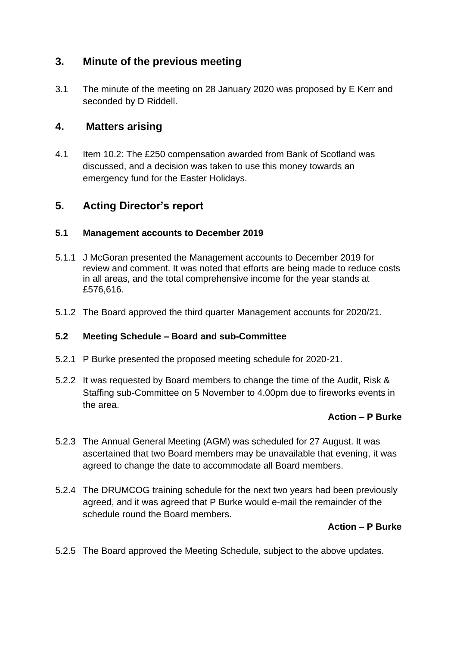# **3. Minute of the previous meeting**

3.1 The minute of the meeting on 28 January 2020 was proposed by E Kerr and seconded by D Riddell.

## **4. Matters arising**

4.1 Item 10.2: The £250 compensation awarded from Bank of Scotland was discussed, and a decision was taken to use this money towards an emergency fund for the Easter Holidays.

# **5. Acting Director's report**

## **5.1 Management accounts to December 2019**

- 5.1.1 J McGoran presented the Management accounts to December 2019 for review and comment. It was noted that efforts are being made to reduce costs in all areas, and the total comprehensive income for the year stands at £576,616.
- 5.1.2 The Board approved the third quarter Management accounts for 2020/21.

## **5.2 Meeting Schedule – Board and sub-Committee**

- 5.2.1 P Burke presented the proposed meeting schedule for 2020-21.
- 5.2.2 It was requested by Board members to change the time of the Audit, Risk & Staffing sub-Committee on 5 November to 4.00pm due to fireworks events in the area.

## **Action – P Burke**

- 5.2.3 The Annual General Meeting (AGM) was scheduled for 27 August. It was ascertained that two Board members may be unavailable that evening, it was agreed to change the date to accommodate all Board members.
- 5.2.4 The DRUMCOG training schedule for the next two years had been previously agreed, and it was agreed that P Burke would e-mail the remainder of the schedule round the Board members.

## **Action – P Burke**

5.2.5 The Board approved the Meeting Schedule, subject to the above updates.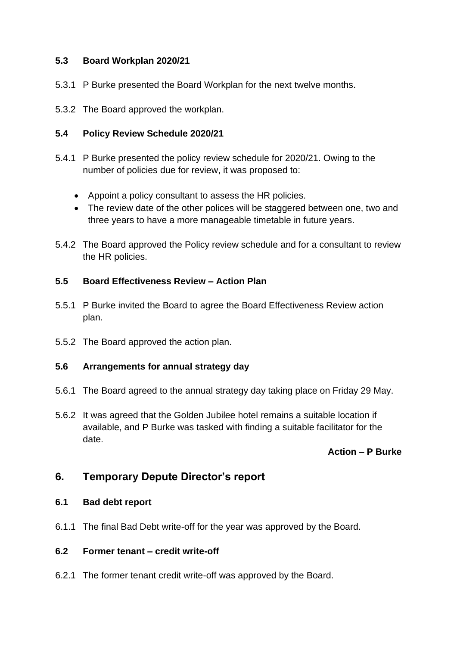## **5.3 Board Workplan 2020/21**

- 5.3.1 P Burke presented the Board Workplan for the next twelve months.
- 5.3.2 The Board approved the workplan.

#### **5.4 Policy Review Schedule 2020/21**

- 5.4.1 P Burke presented the policy review schedule for 2020/21. Owing to the number of policies due for review, it was proposed to:
	- Appoint a policy consultant to assess the HR policies.
	- The review date of the other polices will be staggered between one, two and three years to have a more manageable timetable in future years.
- 5.4.2 The Board approved the Policy review schedule and for a consultant to review the HR policies.

#### **5.5 Board Effectiveness Review – Action Plan**

- 5.5.1 P Burke invited the Board to agree the Board Effectiveness Review action plan.
- 5.5.2 The Board approved the action plan.

### **5.6 Arrangements for annual strategy day**

- 5.6.1 The Board agreed to the annual strategy day taking place on Friday 29 May.
- 5.6.2 It was agreed that the Golden Jubilee hotel remains a suitable location if available, and P Burke was tasked with finding a suitable facilitator for the date.

#### **Action – P Burke**

## **6. Temporary Depute Director's report**

#### **6.1 Bad debt report**

6.1.1 The final Bad Debt write-off for the year was approved by the Board.

#### **6.2 Former tenant – credit write-off**

6.2.1 The former tenant credit write-off was approved by the Board.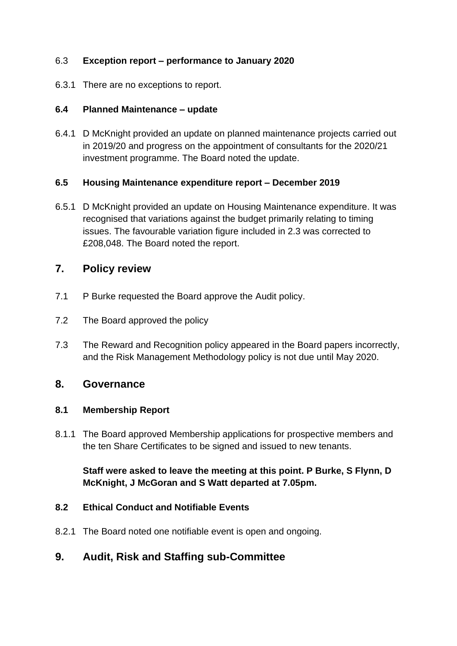## 6.3 **Exception report – performance to January 2020**

6.3.1 There are no exceptions to report.

## **6.4 Planned Maintenance – update**

6.4.1 D McKnight provided an update on planned maintenance projects carried out in 2019/20 and progress on the appointment of consultants for the 2020/21 investment programme. The Board noted the update.

## **6.5 Housing Maintenance expenditure report – December 2019**

6.5.1 D McKnight provided an update on Housing Maintenance expenditure. It was recognised that variations against the budget primarily relating to timing issues. The favourable variation figure included in 2.3 was corrected to £208,048. The Board noted the report.

## **7. Policy review**

- 7.1 P Burke requested the Board approve the Audit policy.
- 7.2 The Board approved the policy
- 7.3 The Reward and Recognition policy appeared in the Board papers incorrectly, and the Risk Management Methodology policy is not due until May 2020.

## **8. Governance**

## **8.1 Membership Report**

8.1.1 The Board approved Membership applications for prospective members and the ten Share Certificates to be signed and issued to new tenants.

**Staff were asked to leave the meeting at this point. P Burke, S Flynn, D McKnight, J McGoran and S Watt departed at 7.05pm.**

## **8.2 Ethical Conduct and Notifiable Events**

8.2.1 The Board noted one notifiable event is open and ongoing.

# **9. Audit, Risk and Staffing sub-Committee**